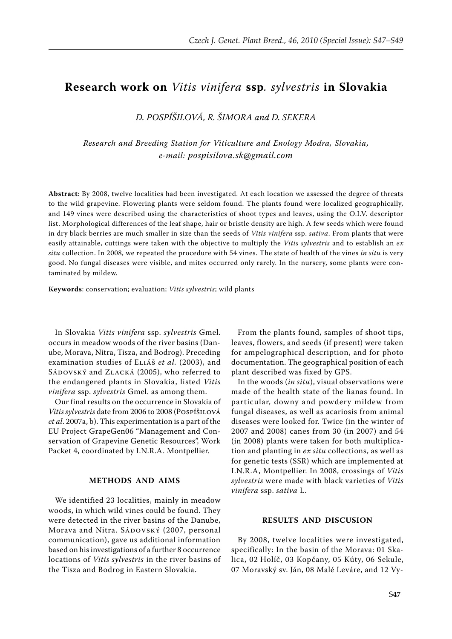## **Research work on** *Vitis vinifera* **ssp***. sylvestris* **in Slovakia**

*D. Pospíšilová, R. Šimora and D. Sekera*

*Research and Breeding Station for Viticulture and Enology Modra, Slovakia, e-mail: pospisilova.sk@gmail.com*

**Abstract**: By 2008, twelve localities had been investigated. At each location we assessed the degree of threats to the wild grapevine. Flowering plants were seldom found. The plants found were localized geographically, and 149 vines were described using the characteristics of shoot types and leaves, using the O.I.V. descriptor list. Morphological differences of the leaf shape, hair or bristle density are high. A few seeds which were found in dry black berries are much smaller in size than the seeds of *Vitis vinifera* ssp. *sativa*. From plants that were easily attainable, cuttings were taken with the objective to multiply the *Vitis sylvestris* and to establish an *ex situ* collection. In 2008, we repeated the procedure with 54 vines. The state of health of the vines *in situ* is very good. No fungal diseases were visible, and mites occurred only rarely. In the nursery, some plants were contaminated by mildew.

**Keywords**: conservation; evaluation; *Vitis sylvestris*; wild plants

In Slovakia *Vitis vinifera* ssp. *sylvestris* Gmel. occurs in meadow woods of the river basins (Danube, Morava, Nitra, Tisza, and Bodrog). Preceding examination studies of Eliáš *et al.* (2003), and SÁDOVSKÝ and ZLACKÁ (2005), who referred to the endangered plants in Slovakia, listed *Vitis vinifera* ssp. *sylvestris* Gmel. as among them.

Our final results on the occurrence in Slovakia of *Vitis sylvestris* date from 2006 to 2008 (Pospíšilová *et al*. 2007a, b). This experimentation is a part of the EU Project GrapeGen06 "Management and Conservation of Grapevine Genetic Resources", Work Packet 4, coordinated by I.N.R.A. Montpellier.

## **METHODS AND AIMS**

We identified 23 localities, mainly in meadow woods, in which wild vines could be found. They were detected in the river basins of the Danube, Morava and Nitra. SÁDOVSKÝ (2007, personal communication), gave us additional information based on his investigations of a further 8 occurrence locations of *Vitis sylvestris* in the river basins of the Tisza and Bodrog in Eastern Slovakia.

From the plants found, samples of shoot tips, leaves, flowers, and seeds (if present) were taken for ampelographical description, and for photo documentation. The geographical position of each plant described was fixed by GPS.

In the woods (*in situ*), visual observations were made of the health state of the lianas found. In particular, downy and powdery mildew from fungal diseases, as well as acariosis from animal diseases were looked for. Twice (in the winter of 2007 and 2008) canes from 30 (in 2007) and 54 (in 2008) plants were taken for both multiplication and planting in *ex situ* collections, as well as for genetic tests (SSR) which are implemented at I.N.R.A, Montpellier. In 2008, crossings of *Vitis sylvestris* were made with black varieties of *Vitis vinifera* ssp. *sativa* L.

## **RESULTS AND DISCUSION**

By 2008, twelve localities were investigated, specifically: In the basin of the Morava: 01 Skalica, 02 Holíč, 03 Kopčany, 05 Kúty, 06 Sekule, 07 Moravský sv. Ján, 08 Malé Leváre, and 12 Vy-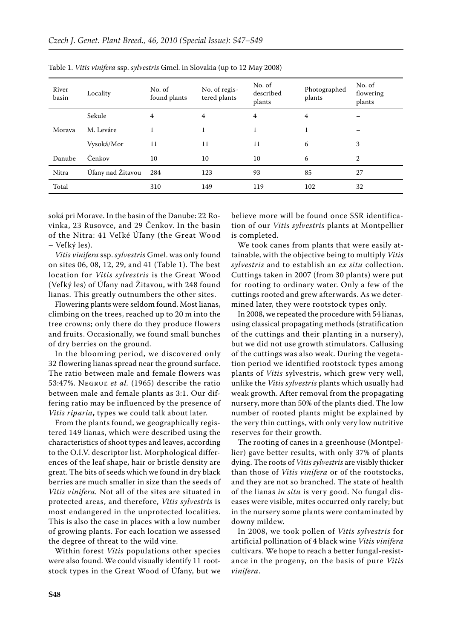| River<br>basin | Locality          | No. of<br>found plants | No. of regis-<br>tered plants | No. of<br>described<br>plants | Photographed<br>plants | No. of<br>flowering<br>plants |
|----------------|-------------------|------------------------|-------------------------------|-------------------------------|------------------------|-------------------------------|
| Morava         | Sekule            | 4                      | 4                             | 4                             | 4                      |                               |
|                | M. Leváre         | 1                      | 1                             |                               |                        |                               |
|                | Vysoká/Mor        | 11                     | 11                            | 11                            | 6                      | 3                             |
| Danube         | Čenkov            | 10                     | 10                            | 10                            | 6                      | $\overline{2}$                |
| Nitra          | Úľany nad Žitavou | 284                    | 123                           | 93                            | 85                     | 27                            |
| Total          |                   | 310                    | 149                           | 119                           | 102                    | 32                            |

Table 1. *Vitis vinifera* ssp. *sylvestris* Gmel. in Slovakia (up to 12 May 2008)

soká pri Morave. In the basin of the Danube: 22 Rovinka, 23 Rusovce, and 29 Čenkov. In the basin of the Nitra: 41 Veľ ké Úľany (the Great Wood – Veľký les).

*Vitis vinifera* ssp. *sylvestris* Gmel. was only found on sites 06, 08, 12, 29, and 41 (Table 1). The best location for *Vitis sylvestris* is the Great Wood (Veľký les) of Úľany nad Žitavou, with 248 found lianas. This greatly outnumbers the other sites.

Flowering plants were seldom found. Most lianas, climbing on the trees, reached up to 20 m into the tree crowns; only there do they produce flowers and fruits. Occasionally, we found small bunches of dry berries on the ground.

In the blooming period, we discovered only 32 flowering lianas spread near the ground surface. The ratio between male and female flowers was 53:47%. Negruľ *et al.* (1965) describe the ratio between male and female plants as 3:1. Our differing ratio may be influenced by the presence of *Vitis riparia***,** types we could talk about later.

From the plants found, we geographically registered 149 lianas, which were described using the characteristics of shoot types and leaves, according to the O.I.V. descriptor list. Morphological differences of the leaf shape, hair or bristle density are great. The bits of seeds which we found in dry black berries are much smaller in size than the seeds of *Vitis vinifera.* Not all of the sites are situated in protected areas, and therefore, *Vitis sylvestris* is most endangered in the unprotected localities. This is also the case in places with a low number of growing plants. For each location we assessed the degree of threat to the wild vine.

Within forest *Vitis* populations other species were also found. We could visually identify 11 rootstock types in the Great Wood of Úľany, but we believe more will be found once SSR identification of our *Vitis sylvestris* plants at Montpellier is completed.

We took canes from plants that were easily attainable, with the objective being to multiply *Vitis sylvestris* and to establish an *ex situ* collection. Cuttings taken in 2007 (from 30 plants) were put for rooting to ordinary water. Only a few of the cuttings rooted and grew afterwards. As we determined later, they were rootstock types only.

In 2008, we repeated the procedure with 54 lianas, using classical propagating methods (stratification of the cuttings and their planting in a nursery), but we did not use growth stimulators. Callusing of the cuttings was also weak. During the vegetation period we identified rootstock types among plants of *Vitis* sylvestris, which grew very well, unlike the *Vitis sylvestris* plants which usually had weak growth. After removal from the propagating nursery, more than 50% of the plants died. The low number of rooted plants might be explained by the very thin cuttings, with only very low nutritive reserves for their growth.

The rooting of canes in a greenhouse (Montpellier) gave better results, with only 37% of plants dying. The roots of *Vitis sylvestris* are visibly thicker than those of *Vitis vinifera* or of the rootstocks, and they are not so branched. The state of health of the lianas *in situ* is very good. No fungal diseases were visible, mites occurred only rarely; but in the nursery some plants were contaminated by downy mildew.

In 2008, we took pollen of *Vitis sylvestris* for artificial pollination of 4 black wine *Vitis vinifera*  cultivars. We hope to reach a better fungal-resistance in the progeny, on the basis of pure *Vitis vinifera*.